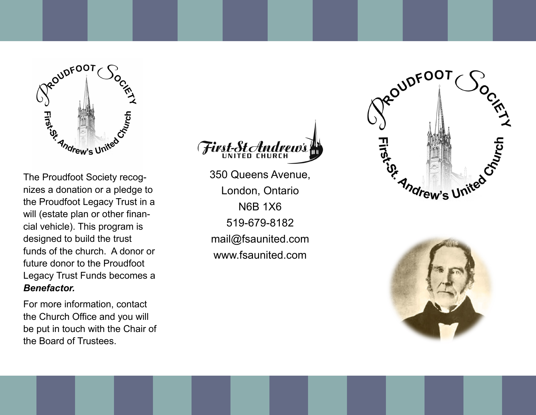

The Proudfoot Society recognizes a donation or a pledge to the Proudfoot Legacy Trust in a will (estate plan or other financial vehicle). This program is designed to build the trust funds of the church. A donor or future donor to the Proudfoot Legacy Trust Funds becomes a *Benefactor.*

For more information, contact the Church Office and you will be put in touch with the Chair of the Board of Trustees.



350 Queens Avenue, London, Ontario N6B 1X6 519-679-8182 mail@fsaunited.com www.fsaunited.com